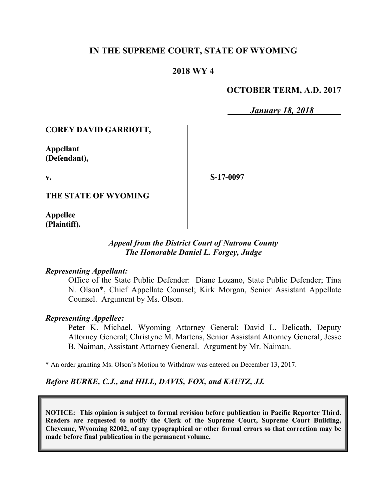## **IN THE SUPREME COURT, STATE OF WYOMING**

## **2018 WY 4**

## **OCTOBER TERM, A.D. 2017**

*January 18, 2018*

### **COREY DAVID GARRIOTT,**

**Appellant (Defendant),**

**v.**

**S-17-0097**

**THE STATE OF WYOMING**

**Appellee (Plaintiff).**

## *Appeal from the District Court of Natrona County The Honorable Daniel L. Forgey, Judge*

#### *Representing Appellant:*

Office of the State Public Defender: Diane Lozano, State Public Defender; Tina N. Olson\*, Chief Appellate Counsel; Kirk Morgan, Senior Assistant Appellate Counsel. Argument by Ms. Olson.

### *Representing Appellee:*

Peter K. Michael, Wyoming Attorney General; David L. Delicath, Deputy Attorney General; Christyne M. Martens, Senior Assistant Attorney General; Jesse B. Naiman, Assistant Attorney General. Argument by Mr. Naiman.

\* An order granting Ms. Olson's Motion to Withdraw was entered on December 13, 2017.

### *Before BURKE, C.J., and HILL, DAVIS, FOX, and KAUTZ, JJ.*

**NOTICE: This opinion is subject to formal revision before publication in Pacific Reporter Third. Readers are requested to notify the Clerk of the Supreme Court, Supreme Court Building, Cheyenne, Wyoming 82002, of any typographical or other formal errors so that correction may be made before final publication in the permanent volume.**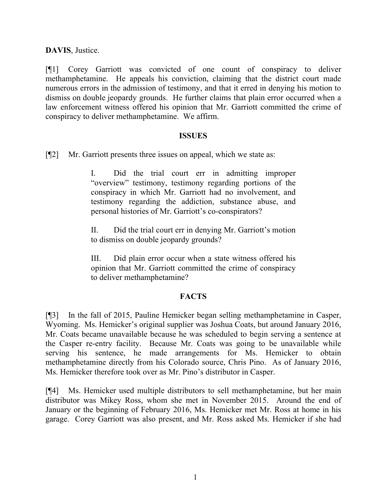**DAVIS**, Justice.

[¶1] Corey Garriott was convicted of one count of conspiracy to deliver methamphetamine. He appeals his conviction, claiming that the district court made numerous errors in the admission of testimony, and that it erred in denying his motion to dismiss on double jeopardy grounds. He further claims that plain error occurred when a law enforcement witness offered his opinion that Mr. Garriott committed the crime of conspiracy to deliver methamphetamine. We affirm.

#### **ISSUES**

[¶2] Mr. Garriott presents three issues on appeal, which we state as:

I. Did the trial court err in admitting improper "overview" testimony, testimony regarding portions of the conspiracy in which Mr. Garriott had no involvement, and testimony regarding the addiction, substance abuse, and personal histories of Mr. Garriott's co-conspirators?

II. Did the trial court err in denying Mr. Garriott's motion to dismiss on double jeopardy grounds?

III. Did plain error occur when a state witness offered his opinion that Mr. Garriott committed the crime of conspiracy to deliver methamphetamine?

## **FACTS**

[¶3] In the fall of 2015, Pauline Hemicker began selling methamphetamine in Casper, Wyoming. Ms. Hemicker's original supplier was Joshua Coats, but around January 2016, Mr. Coats became unavailable because he was scheduled to begin serving a sentence at the Casper re-entry facility. Because Mr. Coats was going to be unavailable while serving his sentence, he made arrangements for Ms. Hemicker to obtain methamphetamine directly from his Colorado source, Chris Pino. As of January 2016, Ms. Hemicker therefore took over as Mr. Pino's distributor in Casper.

[¶4] Ms. Hemicker used multiple distributors to sell methamphetamine, but her main distributor was Mikey Ross, whom she met in November 2015. Around the end of January or the beginning of February 2016, Ms. Hemicker met Mr. Ross at home in his garage. Corey Garriott was also present, and Mr. Ross asked Ms. Hemicker if she had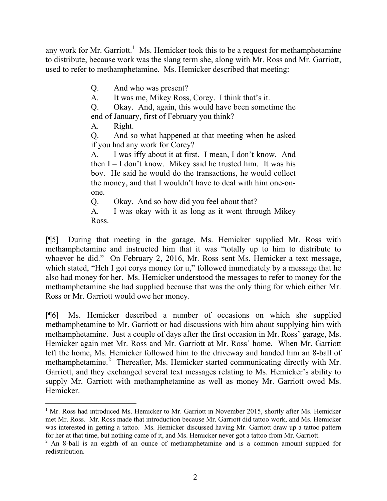any work for Mr. Garriott.<sup>1</sup> Ms. Hemicker took this to be a request for methamphetamine to distribute, because work was the slang term she, along with Mr. Ross and Mr. Garriott, used to refer to methamphetamine. Ms. Hemicker described that meeting:

Q. And who was present?

A. It was me, Mikey Ross, Corey. I think that's it.

Q. Okay. And, again, this would have been sometime the end of January, first of February you think?

A. Right.

Q. And so what happened at that meeting when he asked if you had any work for Corey?

A. I was iffy about it at first. I mean, I don't know. And then I – I don't know. Mikey said he trusted him. It was his boy. He said he would do the transactions, he would collect the money, and that I wouldn't have to deal with him one-onone.

Q. Okay. And so how did you feel about that?

A. I was okay with it as long as it went through Mikey Ross.

[¶5] During that meeting in the garage, Ms. Hemicker supplied Mr. Ross with methamphetamine and instructed him that it was "totally up to him to distribute to whoever he did." On February 2, 2016, Mr. Ross sent Ms. Hemicker a text message, which stated, "Heh I got corys money for u," followed immediately by a message that he also had money for her. Ms. Hemicker understood the messages to refer to money for the methamphetamine she had supplied because that was the only thing for which either Mr. Ross or Mr. Garriott would owe her money.

[¶6] Ms. Hemicker described a number of occasions on which she supplied methamphetamine to Mr. Garriott or had discussions with him about supplying him with methamphetamine. Just a couple of days after the first occasion in Mr. Ross' garage, Ms. Hemicker again met Mr. Ross and Mr. Garriott at Mr. Ross' home. When Mr. Garriott left the home, Ms. Hemicker followed him to the driveway and handed him an 8-ball of methamphetamine.<sup>2</sup> Thereafter, Ms. Hemicker started communicating directly with Mr. Garriott, and they exchanged several text messages relating to Ms. Hemicker's ability to supply Mr. Garriott with methamphetamine as well as money Mr. Garriott owed Ms. Hemicker.

 $<sup>1</sup>$  Mr. Ross had introduced Ms. Hemicker to Mr. Garriott in November 2015, shortly after Ms. Hemicker</sup> met Mr. Ross. Mr. Ross made that introduction because Mr. Garriott did tattoo work, and Ms. Hemicker was interested in getting a tattoo. Ms. Hemicker discussed having Mr. Garriott draw up a tattoo pattern for her at that time, but nothing came of it, and Ms. Hemicker never got a tattoo from Mr. Garriott.

<sup>2</sup> An 8-ball is an eighth of an ounce of methamphetamine and is a common amount supplied for redistribution.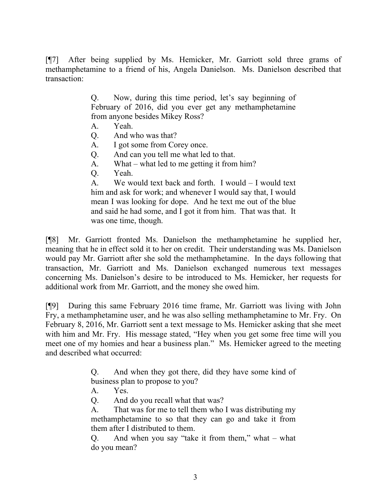[¶7] After being supplied by Ms. Hemicker, Mr. Garriott sold three grams of methamphetamine to a friend of his, Angela Danielson. Ms. Danielson described that transaction:

> Q. Now, during this time period, let's say beginning of February of 2016, did you ever get any methamphetamine from anyone besides Mikey Ross?

- A. Yeah.
- Q. And who was that?
- A. I got some from Corey once.
- Q. And can you tell me what led to that.
- A. What what led to me getting it from him?
- Q. Yeah.

A. We would text back and forth. I would – I would text him and ask for work; and whenever I would say that, I would mean I was looking for dope. And he text me out of the blue and said he had some, and I got it from him. That was that. It was one time, though.

[¶8] Mr. Garriott fronted Ms. Danielson the methamphetamine he supplied her, meaning that he in effect sold it to her on credit. Their understanding was Ms. Danielson would pay Mr. Garriott after she sold the methamphetamine. In the days following that transaction, Mr. Garriott and Ms. Danielson exchanged numerous text messages concerning Ms. Danielson's desire to be introduced to Ms. Hemicker, her requests for additional work from Mr. Garriott, and the money she owed him.

[¶9] During this same February 2016 time frame, Mr. Garriott was living with John Fry, a methamphetamine user, and he was also selling methamphetamine to Mr. Fry. On February 8, 2016, Mr. Garriott sent a text message to Ms. Hemicker asking that she meet with him and Mr. Fry. His message stated, "Hey when you get some free time will you meet one of my homies and hear a business plan." Ms. Hemicker agreed to the meeting and described what occurred:

> Q. And when they got there, did they have some kind of business plan to propose to you?

A. Yes.

Q. And do you recall what that was?

A. That was for me to tell them who I was distributing my methamphetamine to so that they can go and take it from them after I distributed to them.

Q. And when you say "take it from them," what – what do you mean?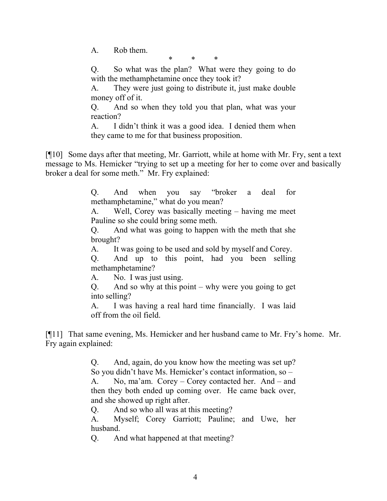A. Rob them.

\* \* \*

Q. So what was the plan? What were they going to do with the methamphetamine once they took it?

A. They were just going to distribute it, just make double money off of it.

Q. And so when they told you that plan, what was your reaction?

A. I didn't think it was a good idea. I denied them when they came to me for that business proposition.

[¶10] Some days after that meeting, Mr. Garriott, while at home with Mr. Fry, sent a text message to Ms. Hemicker "trying to set up a meeting for her to come over and basically broker a deal for some meth." Mr. Fry explained:

> Q. And when you say "broker a deal for methamphetamine," what do you mean?

> A. Well, Corey was basically meeting – having me meet Pauline so she could bring some meth.

> Q. And what was going to happen with the meth that she brought?

A. It was going to be used and sold by myself and Corey.

Q. And up to this point, had you been selling methamphetamine?

A. No. I was just using.

Q. And so why at this point – why were you going to get into selling?

A. I was having a real hard time financially. I was laid off from the oil field.

[¶11] That same evening, Ms. Hemicker and her husband came to Mr. Fry's home. Mr. Fry again explained:

> Q. And, again, do you know how the meeting was set up? So you didn't have Ms. Hemicker's contact information, so –

> A. No, ma'am. Corey – Corey contacted her. And – and then they both ended up coming over. He came back over, and she showed up right after.

Q. And so who all was at this meeting?

A. Myself; Corey Garriott; Pauline; and Uwe, her husband.

Q. And what happened at that meeting?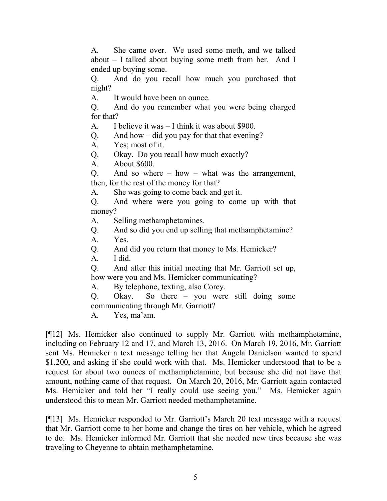A. She came over. We used some meth, and we talked about – I talked about buying some meth from her. And I ended up buying some.

Q. And do you recall how much you purchased that night?

A. It would have been an ounce.

Q. And do you remember what you were being charged for that?

A. I believe it was – I think it was about \$900.

Q. And how – did you pay for that that evening?

A. Yes; most of it.

Q. Okay. Do you recall how much exactly?

A. About \$600.

Q. And so where – how – what was the arrangement, then, for the rest of the money for that?

A. She was going to come back and get it.

Q. And where were you going to come up with that money?

A. Selling methamphetamines.

Q. And so did you end up selling that methamphetamine?

A. Yes.

Q. And did you return that money to Ms. Hemicker?

A. I did.

Q. And after this initial meeting that Mr. Garriott set up, how were you and Ms. Hemicker communicating?

A. By telephone, texting, also Corey.

Q. Okay. So there – you were still doing some communicating through Mr. Garriott?

A. Yes, ma'am.

[¶12] Ms. Hemicker also continued to supply Mr. Garriott with methamphetamine, including on February 12 and 17, and March 13, 2016. On March 19, 2016, Mr. Garriott sent Ms. Hemicker a text message telling her that Angela Danielson wanted to spend \$1,200, and asking if she could work with that. Ms. Hemicker understood that to be a request for about two ounces of methamphetamine, but because she did not have that amount, nothing came of that request. On March 20, 2016, Mr. Garriott again contacted Ms. Hemicker and told her "I really could use seeing you." Ms. Hemicker again understood this to mean Mr. Garriott needed methamphetamine.

[¶13] Ms. Hemicker responded to Mr. Garriott's March 20 text message with a request that Mr. Garriott come to her home and change the tires on her vehicle, which he agreed to do. Ms. Hemicker informed Mr. Garriott that she needed new tires because she was traveling to Cheyenne to obtain methamphetamine.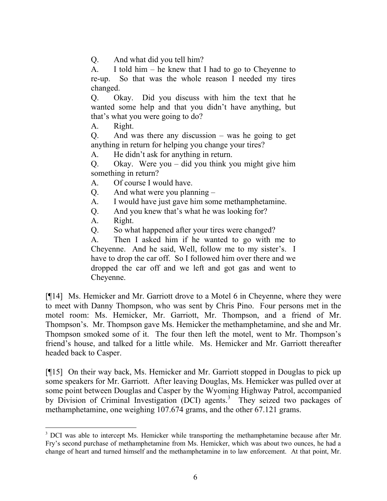Q. And what did you tell him?

A. I told him – he knew that I had to go to Cheyenne to re-up. So that was the whole reason I needed my tires changed.

Q. Okay. Did you discuss with him the text that he wanted some help and that you didn't have anything, but that's what you were going to do?

A. Right.

Q. And was there any discussion – was he going to get anything in return for helping you change your tires?

A. He didn't ask for anything in return.

Q. Okay. Were you – did you think you might give him something in return?

- A. Of course I would have.
- Q. And what were you planning –
- A. I would have just gave him some methamphetamine.
- Q. And you knew that's what he was looking for?
- A. Right.

l

Q. So what happened after your tires were changed?

A. Then I asked him if he wanted to go with me to Cheyenne. And he said, Well, follow me to my sister's. I have to drop the car off. So I followed him over there and we dropped the car off and we left and got gas and went to Cheyenne.

[¶14] Ms. Hemicker and Mr. Garriott drove to a Motel 6 in Cheyenne, where they were to meet with Danny Thompson, who was sent by Chris Pino. Four persons met in the motel room: Ms. Hemicker, Mr. Garriott, Mr. Thompson, and a friend of Mr. Thompson's. Mr. Thompson gave Ms. Hemicker the methamphetamine, and she and Mr. Thompson smoked some of it. The four then left the motel, went to Mr. Thompson's friend's house, and talked for a little while. Ms. Hemicker and Mr. Garriott thereafter headed back to Casper.

[¶15] On their way back, Ms. Hemicker and Mr. Garriott stopped in Douglas to pick up some speakers for Mr. Garriott. After leaving Douglas, Ms. Hemicker was pulled over at some point between Douglas and Casper by the Wyoming Highway Patrol, accompanied by Division of Criminal Investigation (DCI) agents.<sup>3</sup> They seized two packages of methamphetamine, one weighing 107.674 grams, and the other 67.121 grams.

<sup>&</sup>lt;sup>3</sup> DCI was able to intercept Ms. Hemicker while transporting the methamphetamine because after Mr. Fry's second purchase of methamphetamine from Ms. Hemicker, which was about two ounces, he had a change of heart and turned himself and the methamphetamine in to law enforcement. At that point, Mr.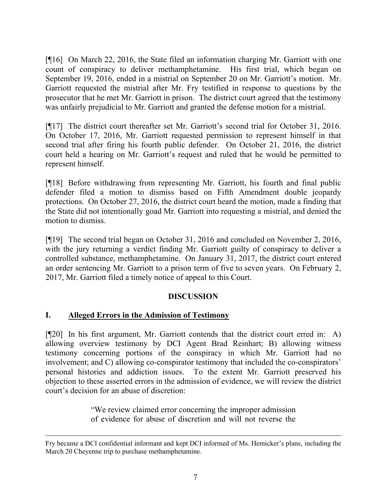[¶16] On March 22, 2016, the State filed an information charging Mr. Garriott with one count of conspiracy to deliver methamphetamine. His first trial, which began on September 19, 2016, ended in a mistrial on September 20 on Mr. Garriott's motion. Mr. Garriott requested the mistrial after Mr. Fry testified in response to questions by the prosecutor that he met Mr. Garriott in prison. The district court agreed that the testimony was unfairly prejudicial to Mr. Garriott and granted the defense motion for a mistrial.

[¶17] The district court thereafter set Mr. Garriott's second trial for October 31, 2016. On October 17, 2016, Mr. Garriott requested permission to represent himself in that second trial after firing his fourth public defender. On October 21, 2016, the district court held a hearing on Mr. Garriott's request and ruled that he would be permitted to represent himself.

[¶18] Before withdrawing from representing Mr. Garriott, his fourth and final public defender filed a motion to dismiss based on Fifth Amendment double jeopardy protections. On October 27, 2016, the district court heard the motion, made a finding that the State did not intentionally goad Mr. Garriott into requesting a mistrial, and denied the motion to dismiss.

[¶19] The second trial began on October 31, 2016 and concluded on November 2, 2016, with the jury returning a verdict finding Mr. Garriott guilty of conspiracy to deliver a controlled substance, methamphetamine. On January 31, 2017, the district court entered an order sentencing Mr. Garriott to a prison term of five to seven years. On February 2, 2017, Mr. Garriott filed a timely notice of appeal to this Court.

# **DISCUSSION**

# **I. Alleged Errors in the Admission of Testimony**

[¶20] In his first argument, Mr. Garriott contends that the district court erred in: A) allowing overview testimony by DCI Agent Brad Reinhart; B) allowing witness testimony concerning portions of the conspiracy in which Mr. Garriott had no involvement; and C) allowing co-conspirator testimony that included the co-conspirators' personal histories and addiction issues. To the extent Mr. Garriott preserved his objection to these asserted errors in the admission of evidence, we will review the district court's decision for an abuse of discretion:

> "We review claimed error concerning the improper admission of evidence for abuse of discretion and will not reverse the

Fry became a DCI confidential informant and kept DCI informed of Ms. Hemicker's plans, including the March 20 Cheyenne trip to purchase methamphetamine.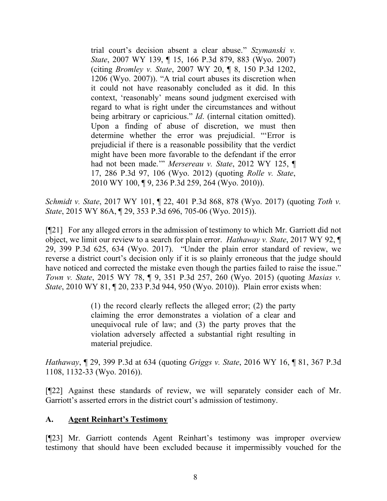trial court's decision absent a clear abuse." *Szymanski v. State*, 2007 WY 139, ¶ 15, 166 P.3d 879, 883 (Wyo. 2007) (citing *Bromley v. State*, 2007 WY 20, ¶ 8, 150 P.3d 1202, 1206 (Wyo. 2007)). "A trial court abuses its discretion when it could not have reasonably concluded as it did. In this context, 'reasonably' means sound judgment exercised with regard to what is right under the circumstances and without being arbitrary or capricious." *Id*. (internal citation omitted). Upon a finding of abuse of discretion, we must then determine whether the error was prejudicial. "'Error is prejudicial if there is a reasonable possibility that the verdict might have been more favorable to the defendant if the error had not been made.'" *Mersereau v. State*, 2012 WY 125, ¶ 17, 286 P.3d 97, 106 (Wyo. 2012) (quoting *Rolle v. State*, 2010 WY 100, ¶ 9, 236 P.3d 259, 264 (Wyo. 2010)).

*Schmidt v. State*, 2017 WY 101, ¶ 22, 401 P.3d 868, 878 (Wyo. 2017) (quoting *Toth v. State*, 2015 WY 86A, ¶ 29, 353 P.3d 696, 705-06 (Wyo. 2015)).

[¶21] For any alleged errors in the admission of testimony to which Mr. Garriott did not object, we limit our review to a search for plain error. *Hathaway v. State*, 2017 WY 92, ¶ 29, 399 P.3d 625, 634 (Wyo. 2017). "Under the plain error standard of review, we reverse a district court's decision only if it is so plainly erroneous that the judge should have noticed and corrected the mistake even though the parties failed to raise the issue." *Town v. State*, 2015 WY 78, ¶ 9, 351 P.3d 257, 260 (Wyo. 2015) (quoting *Masias v. State*, 2010 WY 81, ¶ 20, 233 P.3d 944, 950 (Wyo. 2010)). Plain error exists when:

> (1) the record clearly reflects the alleged error; (2) the party claiming the error demonstrates a violation of a clear and unequivocal rule of law; and (3) the party proves that the violation adversely affected a substantial right resulting in material prejudice.

*Hathaway*, ¶ 29, 399 P.3d at 634 (quoting *Griggs v. State*, 2016 WY 16, ¶ 81, 367 P.3d 1108, 1132-33 (Wyo. 2016)).

[¶22] Against these standards of review, we will separately consider each of Mr. Garriott's asserted errors in the district court's admission of testimony.

## **A. Agent Reinhart's Testimony**

[¶23] Mr. Garriott contends Agent Reinhart's testimony was improper overview testimony that should have been excluded because it impermissibly vouched for the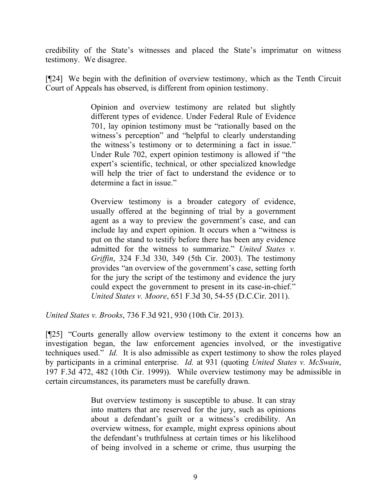credibility of the State's witnesses and placed the State's imprimatur on witness testimony. We disagree.

[¶24] We begin with the definition of overview testimony, which as the Tenth Circuit Court of Appeals has observed, is different from opinion testimony.

> Opinion and overview testimony are related but slightly different types of evidence. Under Federal Rule of Evidence 701, lay opinion testimony must be "rationally based on the witness's perception" and "helpful to clearly understanding the witness's testimony or to determining a fact in issue." Under Rule 702, expert opinion testimony is allowed if "the expert's scientific, technical, or other specialized knowledge will help the trier of fact to understand the evidence or to determine a fact in issue."

> Overview testimony is a broader category of evidence, usually offered at the beginning of trial by a government agent as a way to preview the government's case, and can include lay and expert opinion. It occurs when a "witness is put on the stand to testify before there has been any evidence admitted for the witness to summarize." *United States v. Griffin*, 324 F.3d 330, 349 (5th Cir. 2003). The testimony provides "an overview of the government's case, setting forth for the jury the script of the testimony and evidence the jury could expect the government to present in its case-in-chief." *United States v. Moore*, 651 F.3d 30, 54-55 (D.C.Cir. 2011).

*United States v. Brooks*, 736 F.3d 921, 930 (10th Cir. 2013).

[¶25] "Courts generally allow overview testimony to the extent it concerns how an investigation began, the law enforcement agencies involved, or the investigative techniques used." *Id.* It is also admissible as expert testimony to show the roles played by participants in a criminal enterprise. *Id.* at 931 (quoting *United States v. McSwain*, 197 F.3d 472, 482 (10th Cir. 1999)). While overview testimony may be admissible in certain circumstances, its parameters must be carefully drawn.

> But overview testimony is susceptible to abuse. It can stray into matters that are reserved for the jury, such as opinions about a defendant's guilt or a witness's credibility. An overview witness, for example, might express opinions about the defendant's truthfulness at certain times or his likelihood of being involved in a scheme or crime, thus usurping the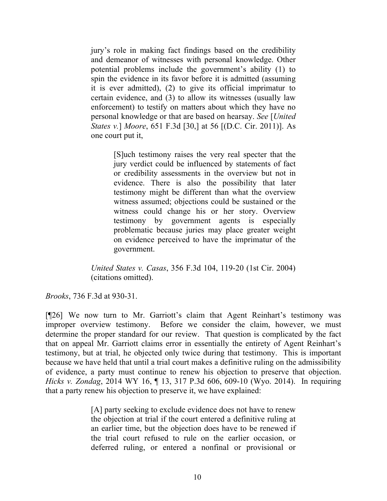jury's role in making fact findings based on the credibility and demeanor of witnesses with personal knowledge. Other potential problems include the government's ability (1) to spin the evidence in its favor before it is admitted (assuming it is ever admitted), (2) to give its official imprimatur to certain evidence, and (3) to allow its witnesses (usually law enforcement) to testify on matters about which they have no personal knowledge or that are based on hearsay. *See* [*United States v.*] *Moore*, 651 F.3d [30,] at 56 [(D.C. Cir. 2011)]. As one court put it,

> [S]uch testimony raises the very real specter that the jury verdict could be influenced by statements of fact or credibility assessments in the overview but not in evidence. There is also the possibility that later testimony might be different than what the overview witness assumed; objections could be sustained or the witness could change his or her story. Overview testimony by government agents is especially problematic because juries may place greater weight on evidence perceived to have the imprimatur of the government.

*United States v. Casas*, 356 F.3d 104, 119-20 (1st Cir. 2004) (citations omitted).

*Brooks*, 736 F.3d at 930-31.

[¶26] We now turn to Mr. Garriott's claim that Agent Reinhart's testimony was improper overview testimony. Before we consider the claim, however, we must determine the proper standard for our review. That question is complicated by the fact that on appeal Mr. Garriott claims error in essentially the entirety of Agent Reinhart's testimony, but at trial, he objected only twice during that testimony. This is important because we have held that until a trial court makes a definitive ruling on the admissibility of evidence, a party must continue to renew his objection to preserve that objection. *Hicks v. Zondag*, 2014 WY 16, ¶ 13, 317 P.3d 606, 609-10 (Wyo. 2014). In requiring that a party renew his objection to preserve it, we have explained:

> [A] party seeking to exclude evidence does not have to renew the objection at trial if the court entered a definitive ruling at an earlier time, but the objection does have to be renewed if the trial court refused to rule on the earlier occasion, or deferred ruling, or entered a nonfinal or provisional or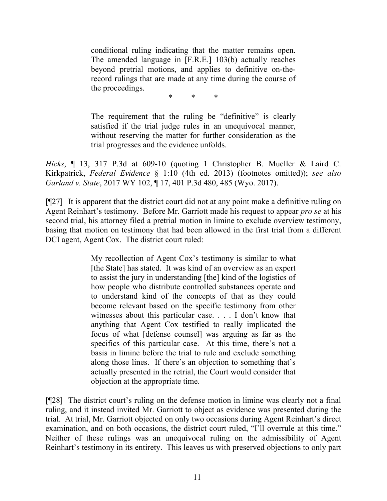conditional ruling indicating that the matter remains open. The amended language in [F.R.E.] 103(b) actually reaches beyond pretrial motions, and applies to definitive on-therecord rulings that are made at any time during the course of the proceedings.

\* \* \*

The requirement that the ruling be "definitive" is clearly satisfied if the trial judge rules in an unequivocal manner, without reserving the matter for further consideration as the trial progresses and the evidence unfolds.

*Hicks*, ¶ 13, 317 P.3d at 609-10 (quoting 1 Christopher B. Mueller & Laird C. Kirkpatrick, *Federal Evidence* § 1:10 (4th ed. 2013) (footnotes omitted)); *see also Garland v. State*, 2017 WY 102, ¶ 17, 401 P.3d 480, 485 (Wyo. 2017).

[¶27] It is apparent that the district court did not at any point make a definitive ruling on Agent Reinhart's testimony. Before Mr. Garriott made his request to appear *pro se* at his second trial, his attorney filed a pretrial motion in limine to exclude overview testimony, basing that motion on testimony that had been allowed in the first trial from a different DCI agent, Agent Cox. The district court ruled:

> My recollection of Agent Cox's testimony is similar to what [the State] has stated. It was kind of an overview as an expert to assist the jury in understanding [the] kind of the logistics of how people who distribute controlled substances operate and to understand kind of the concepts of that as they could become relevant based on the specific testimony from other witnesses about this particular case. . . . I don't know that anything that Agent Cox testified to really implicated the focus of what [defense counsel] was arguing as far as the specifics of this particular case. At this time, there's not a basis in limine before the trial to rule and exclude something along those lines. If there's an objection to something that's actually presented in the retrial, the Court would consider that objection at the appropriate time.

[¶28] The district court's ruling on the defense motion in limine was clearly not a final ruling, and it instead invited Mr. Garriott to object as evidence was presented during the trial. At trial, Mr. Garriott objected on only two occasions during Agent Reinhart's direct examination, and on both occasions, the district court ruled, "I'll overrule at this time." Neither of these rulings was an unequivocal ruling on the admissibility of Agent Reinhart's testimony in its entirety. This leaves us with preserved objections to only part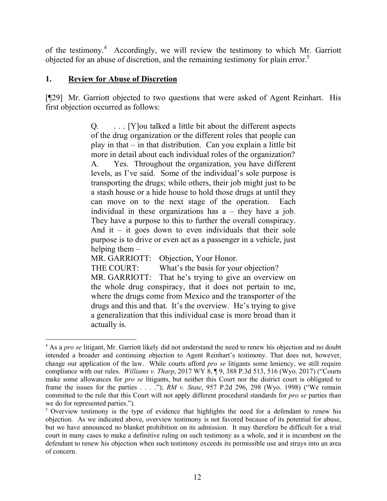of the testimony.<sup>4</sup> Accordingly, we will review the testimony to which Mr. Garriott objected for an abuse of discretion, and the remaining testimony for plain error.<sup>5</sup>

## **1. Review for Abuse of Discretion**

 $\overline{a}$ 

[¶29] Mr. Garriott objected to two questions that were asked of Agent Reinhart. His first objection occurred as follows:

> Q. . . . [Y]ou talked a little bit about the different aspects of the drug organization or the different roles that people can play in that – in that distribution. Can you explain a little bit more in detail about each individual roles of the organization? A. Yes. Throughout the organization, you have different levels, as I've said. Some of the individual's sole purpose is transporting the drugs; while others, their job might just to be a stash house or a hide house to hold those drugs at until they can move on to the next stage of the operation. Each individual in these organizations has  $a -$  they have a job. They have a purpose to this to further the overall conspiracy. And it – it goes down to even individuals that their sole purpose is to drive or even act as a passenger in a vehicle, just helping them –

MR. GARRIOTT: Objection, Your Honor.

THE COURT: What's the basis for your objection? MR. GARRIOTT: That he's trying to give an overview on

the whole drug conspiracy, that it does not pertain to me, where the drugs come from Mexico and the transporter of the drugs and this and that. It's the overview. He's trying to give a generalization that this individual case is more broad than it actually is.

<sup>4</sup> As a *pro se* litigant, Mr. Garriott likely did not understand the need to renew his objection and no doubt intended a broader and continuing objection to Agent Reinhart's testimony. That does not, however, change our application of the law. While courts afford *pro se* litigants some leniency, we still require compliance with our rules. *Williams v. Tharp*, 2017 WY 8, ¶ 9, 388 P.3d 513, 516 (Wyo. 2017) ("Courts make some allowances for *pro se* litigants, but neither this Court nor the district court is obligated to frame the issues for the parties . . . ."); *RM v. State*, 957 P.2d 296, 298 (Wyo. 1998) ("We remain committed to the rule that this Court will not apply different procedural standards for *pro se* parties than we do for represented parties.").

<sup>&</sup>lt;sup>5</sup> Overview testimony is the type of evidence that highlights the need for a defendant to renew his objection. As we indicated above, overview testimony is not favored because of its potential for abuse, but we have announced no blanket prohibition on its admission. It may therefore be difficult for a trial court in many cases to make a definitive ruling on such testimony as a whole, and it is incumbent on the defendant to renew his objection when such testimony exceeds its permissible use and strays into an area of concern.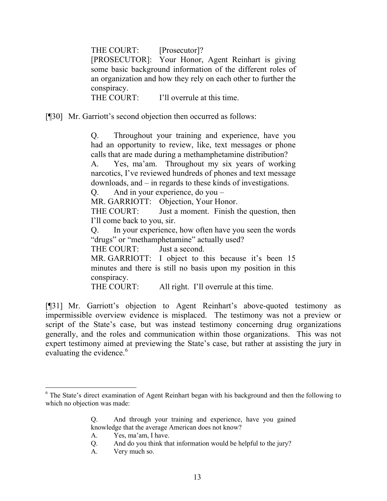THE COURT: [Prosecutor]? [PROSECUTOR]: Your Honor, Agent Reinhart is giving some basic background information of the different roles of an organization and how they rely on each other to further the conspiracy. THE COURT: I'll overrule at this time.

[¶30] Mr. Garriott's second objection then occurred as follows:

Q. Throughout your training and experience, have you had an opportunity to review, like, text messages or phone calls that are made during a methamphetamine distribution?

A. Yes, ma'am. Throughout my six years of working narcotics, I've reviewed hundreds of phones and text message downloads, and – in regards to these kinds of investigations.

Q. And in your experience, do you –

MR. GARRIOTT: Objection, Your Honor.

THE COURT: Just a moment. Finish the question, then I'll come back to you, sir.

Q. In your experience, how often have you seen the words "drugs" or "methamphetamine" actually used?

THE COURT: Just a second.

MR. GARRIOTT: I object to this because it's been 15 minutes and there is still no basis upon my position in this conspiracy.

THE COURT: All right. I'll overrule at this time.

[¶31] Mr. Garriott's objection to Agent Reinhart's above-quoted testimony as impermissible overview evidence is misplaced. The testimony was not a preview or script of the State's case, but was instead testimony concerning drug organizations generally, and the roles and communication within those organizations. This was not expert testimony aimed at previewing the State's case, but rather at assisting the jury in evaluating the evidence.<sup>6</sup>

l

<sup>&</sup>lt;sup>6</sup> The State's direct examination of Agent Reinhart began with his background and then the following to which no objection was made:

Q. And through your training and experience, have you gained knowledge that the average American does not know?

A. Yes, ma'am, I have.

Q. And do you think that information would be helpful to the jury?

A. Very much so.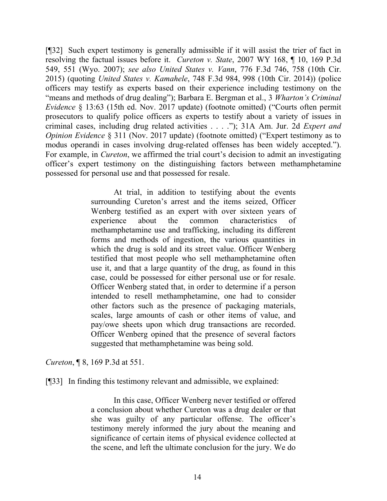[¶32] Such expert testimony is generally admissible if it will assist the trier of fact in resolving the factual issues before it. *Cureton v. State*, 2007 WY 168, ¶ 10, 169 P.3d 549, 551 (Wyo. 2007); *see also United States v. Vann*, 776 F.3d 746, 758 (10th Cir. 2015) (quoting *United States v. Kamahele*, 748 F.3d 984, 998 (10th Cir. 2014)) (police officers may testify as experts based on their experience including testimony on the "means and methods of drug dealing"); Barbara E. Bergman et al., 3 *Wharton's Criminal Evidence* § 13:63 (15th ed. Nov. 2017 update) (footnote omitted) ("Courts often permit prosecutors to qualify police officers as experts to testify about a variety of issues in criminal cases, including drug related activities . . . ."); 31A Am. Jur. 2d *Expert and Opinion Evidence* § 311 (Nov. 2017 update) (footnote omitted) ("Expert testimony as to modus operandi in cases involving drug-related offenses has been widely accepted."). For example, in *Cureton*, we affirmed the trial court's decision to admit an investigating officer's expert testimony on the distinguishing factors between methamphetamine possessed for personal use and that possessed for resale.

> At trial, in addition to testifying about the events surrounding Cureton's arrest and the items seized, Officer Wenberg testified as an expert with over sixteen years of experience about the common characteristics of methamphetamine use and trafficking, including its different forms and methods of ingestion, the various quantities in which the drug is sold and its street value. Officer Wenberg testified that most people who sell methamphetamine often use it, and that a large quantity of the drug, as found in this case, could be possessed for either personal use or for resale. Officer Wenberg stated that, in order to determine if a person intended to resell methamphetamine, one had to consider other factors such as the presence of packaging materials, scales, large amounts of cash or other items of value, and pay/owe sheets upon which drug transactions are recorded. Officer Wenberg opined that the presence of several factors suggested that methamphetamine was being sold.

*Cureton*, ¶ 8, 169 P.3d at 551.

[¶33] In finding this testimony relevant and admissible, we explained:

In this case, Officer Wenberg never testified or offered a conclusion about whether Cureton was a drug dealer or that she was guilty of any particular offense. The officer's testimony merely informed the jury about the meaning and significance of certain items of physical evidence collected at the scene, and left the ultimate conclusion for the jury. We do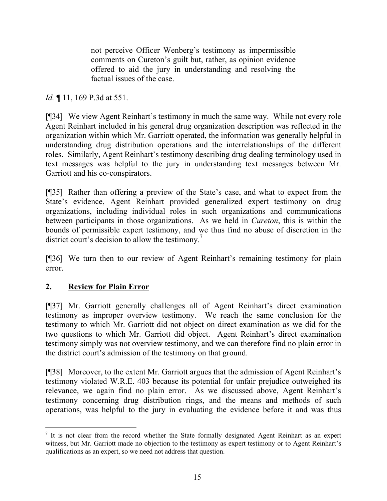not perceive Officer Wenberg's testimony as impermissible comments on Cureton's guilt but, rather, as opinion evidence offered to aid the jury in understanding and resolving the factual issues of the case.

*Id.* ¶ 11, 169 P.3d at 551.

[¶34] We view Agent Reinhart's testimony in much the same way. While not every role Agent Reinhart included in his general drug organization description was reflected in the organization within which Mr. Garriott operated, the information was generally helpful in understanding drug distribution operations and the interrelationships of the different roles. Similarly, Agent Reinhart's testimony describing drug dealing terminology used in text messages was helpful to the jury in understanding text messages between Mr. Garriott and his co-conspirators.

[¶35] Rather than offering a preview of the State's case, and what to expect from the State's evidence, Agent Reinhart provided generalized expert testimony on drug organizations, including individual roles in such organizations and communications between participants in those organizations. As we held in *Cureton*, this is within the bounds of permissible expert testimony, and we thus find no abuse of discretion in the district court's decision to allow the testimony.<sup>7</sup>

[¶36] We turn then to our review of Agent Reinhart's remaining testimony for plain error.

# **2. Review for Plain Error**

l

[¶37] Mr. Garriott generally challenges all of Agent Reinhart's direct examination testimony as improper overview testimony. We reach the same conclusion for the testimony to which Mr. Garriott did not object on direct examination as we did for the two questions to which Mr. Garriott did object. Agent Reinhart's direct examination testimony simply was not overview testimony, and we can therefore find no plain error in the district court's admission of the testimony on that ground.

[¶38] Moreover, to the extent Mr. Garriott argues that the admission of Agent Reinhart's testimony violated W.R.E. 403 because its potential for unfair prejudice outweighed its relevance, we again find no plain error. As we discussed above, Agent Reinhart's testimony concerning drug distribution rings, and the means and methods of such operations, was helpful to the jury in evaluating the evidence before it and was thus

<sup>&</sup>lt;sup>7</sup> It is not clear from the record whether the State formally designated Agent Reinhart as an expert witness, but Mr. Garriott made no objection to the testimony as expert testimony or to Agent Reinhart's qualifications as an expert, so we need not address that question.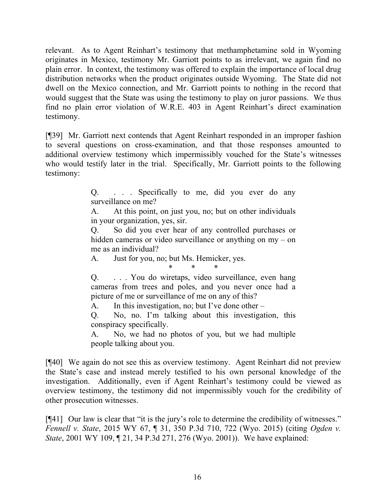relevant. As to Agent Reinhart's testimony that methamphetamine sold in Wyoming originates in Mexico, testimony Mr. Garriott points to as irrelevant, we again find no plain error. In context, the testimony was offered to explain the importance of local drug distribution networks when the product originates outside Wyoming. The State did not dwell on the Mexico connection, and Mr. Garriott points to nothing in the record that would suggest that the State was using the testimony to play on juror passions. We thus find no plain error violation of W.R.E. 403 in Agent Reinhart's direct examination testimony.

[¶39] Mr. Garriott next contends that Agent Reinhart responded in an improper fashion to several questions on cross-examination, and that those responses amounted to additional overview testimony which impermissibly vouched for the State's witnesses who would testify later in the trial. Specifically, Mr. Garriott points to the following testimony:

> Q. . . . Specifically to me, did you ever do any surveillance on me?

> A. At this point, on just you, no; but on other individuals in your organization, yes, sir.

> Q. So did you ever hear of any controlled purchases or hidden cameras or video surveillance or anything on my – on me as an individual?

A. Just for you, no; but Ms. Hemicker, yes.

\* \* \*

Q. . . . You do wiretaps, video surveillance, even hang cameras from trees and poles, and you never once had a picture of me or surveillance of me on any of this?

A. In this investigation, no; but I've done other –

Q. No, no. I'm talking about this investigation, this conspiracy specifically.

A. No, we had no photos of you, but we had multiple people talking about you.

[¶40] We again do not see this as overview testimony. Agent Reinhart did not preview the State's case and instead merely testified to his own personal knowledge of the investigation. Additionally, even if Agent Reinhart's testimony could be viewed as overview testimony, the testimony did not impermissibly vouch for the credibility of other prosecution witnesses.

[¶41] Our law is clear that "it is the jury's role to determine the credibility of witnesses." *Fennell v. State*, 2015 WY 67, ¶ 31, 350 P.3d 710, 722 (Wyo. 2015) (citing *Ogden v. State*, 2001 WY 109, 121, 34 P.3d 271, 276 (Wyo. 2001)). We have explained: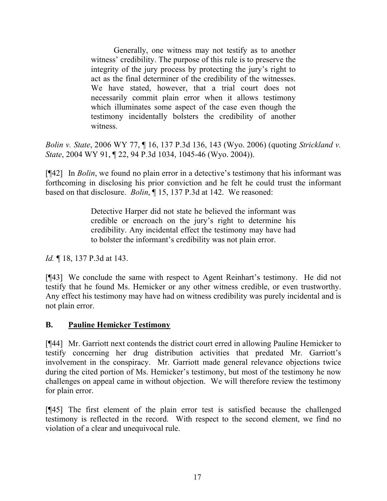Generally, one witness may not testify as to another witness' credibility. The purpose of this rule is to preserve the integrity of the jury process by protecting the jury's right to act as the final determiner of the credibility of the witnesses. We have stated, however, that a trial court does not necessarily commit plain error when it allows testimony which illuminates some aspect of the case even though the testimony incidentally bolsters the credibility of another witness.

*Bolin v. State*, 2006 WY 77, ¶ 16, 137 P.3d 136, 143 (Wyo. 2006) (quoting *Strickland v. State*, 2004 WY 91, ¶ 22, 94 P.3d 1034, 1045-46 (Wyo. 2004)).

[¶42] In *Bolin*, we found no plain error in a detective's testimony that his informant was forthcoming in disclosing his prior conviction and he felt he could trust the informant based on that disclosure. *Bolin*, ¶ 15, 137 P.3d at 142. We reasoned:

> Detective Harper did not state he believed the informant was credible or encroach on the jury's right to determine his credibility. Any incidental effect the testimony may have had to bolster the informant's credibility was not plain error.

*Id.* ¶ 18, 137 P.3d at 143.

[¶43] We conclude the same with respect to Agent Reinhart's testimony. He did not testify that he found Ms. Hemicker or any other witness credible, or even trustworthy. Any effect his testimony may have had on witness credibility was purely incidental and is not plain error.

## **B. Pauline Hemicker Testimony**

[¶44] Mr. Garriott next contends the district court erred in allowing Pauline Hemicker to testify concerning her drug distribution activities that predated Mr. Garriott's involvement in the conspiracy. Mr. Garriott made general relevance objections twice during the cited portion of Ms. Hemicker's testimony, but most of the testimony he now challenges on appeal came in without objection. We will therefore review the testimony for plain error.

[¶45] The first element of the plain error test is satisfied because the challenged testimony is reflected in the record. With respect to the second element, we find no violation of a clear and unequivocal rule.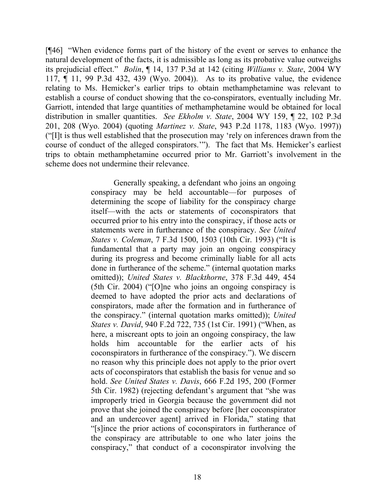[¶46] "When evidence forms part of the history of the event or serves to enhance the natural development of the facts, it is admissible as long as its probative value outweighs its prejudicial effect." *Bolin*, ¶ 14, 137 P.3d at 142 (citing *Williams v. State*, 2004 WY 117, ¶ 11, 99 P.3d 432, 439 (Wyo. 2004)). As to its probative value, the evidence relating to Ms. Hemicker's earlier trips to obtain methamphetamine was relevant to establish a course of conduct showing that the co-conspirators, eventually including Mr. Garriott, intended that large quantities of methamphetamine would be obtained for local distribution in smaller quantities. *See Ekholm v. State*, 2004 WY 159, ¶ 22, 102 P.3d 201, 208 (Wyo. 2004) (quoting *Martinez v. State*, 943 P.2d 1178, 1183 (Wyo. 1997)) ("[I]t is thus well established that the prosecution may 'rely on inferences drawn from the course of conduct of the alleged conspirators.'"). The fact that Ms. Hemicker's earliest trips to obtain methamphetamine occurred prior to Mr. Garriott's involvement in the scheme does not undermine their relevance.

> Generally speaking, a defendant who joins an ongoing conspiracy may be held accountable—for purposes of determining the scope of liability for the conspiracy charge itself—with the acts or statements of coconspirators that occurred prior to his entry into the conspiracy, if those acts or statements were in furtherance of the conspiracy. *See United States v. Coleman*, 7 F.3d 1500, 1503 (10th Cir. 1993) ("It is fundamental that a party may join an ongoing conspiracy during its progress and become criminally liable for all acts done in furtherance of the scheme." (internal quotation marks omitted)); *United States v. Blackthorne*, 378 F.3d 449, 454 (5th Cir. 2004) ("[O]ne who joins an ongoing conspiracy is deemed to have adopted the prior acts and declarations of conspirators, made after the formation and in furtherance of the conspiracy." (internal quotation marks omitted)); *United States v. David*, 940 F.2d 722, 735 (1st Cir. 1991) ("When, as here, a miscreant opts to join an ongoing conspiracy, the law holds him accountable for the earlier acts of his coconspirators in furtherance of the conspiracy."). We discern no reason why this principle does not apply to the prior overt acts of coconspirators that establish the basis for venue and so hold. *See United States v. Davis*, 666 F.2d 195, 200 (Former 5th Cir. 1982) (rejecting defendant's argument that "she was improperly tried in Georgia because the government did not prove that she joined the conspiracy before [her coconspirator and an undercover agent] arrived in Florida," stating that "[s]ince the prior actions of coconspirators in furtherance of the conspiracy are attributable to one who later joins the conspiracy," that conduct of a coconspirator involving the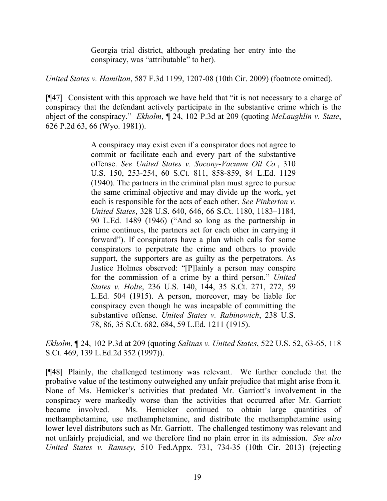Georgia trial district, although predating her entry into the conspiracy, was "attributable" to her).

*United States v. Hamilton*, 587 F.3d 1199, 1207-08 (10th Cir. 2009) (footnote omitted).

[¶47] Consistent with this approach we have held that "it is not necessary to a charge of conspiracy that the defendant actively participate in the substantive crime which is the object of the conspiracy." *Ekholm*, ¶ 24, 102 P.3d at 209 (quoting *McLaughlin v. State*, 626 P.2d 63, 66 (Wyo. 1981)).

> A conspiracy may exist even if a conspirator does not agree to commit or facilitate each and every part of the substantive offense. *See United States v. Socony-Vacuum Oil Co.*, 310 U.S. 150, 253-254, 60 S.Ct. 811, 858-859, 84 L.Ed. 1129 (1940). The partners in the criminal plan must agree to pursue the same criminal objective and may divide up the work, yet each is responsible for the acts of each other. *See Pinkerton v. United States*, 328 U.S. 640, 646, 66 S.Ct. 1180, 1183–1184, 90 L.Ed. 1489 (1946) ("And so long as the partnership in crime continues, the partners act for each other in carrying it forward"). If conspirators have a plan which calls for some conspirators to perpetrate the crime and others to provide support, the supporters are as guilty as the perpetrators. As Justice Holmes observed: "[P]lainly a person may conspire for the commission of a crime by a third person." *United States v. Holte*, 236 U.S. 140, 144, 35 S.Ct. 271, 272, 59 L.Ed. 504 (1915). A person, moreover, may be liable for conspiracy even though he was incapable of committing the substantive offense. *United States v. Rabinowich*, 238 U.S. 78, 86, 35 S.Ct. 682, 684, 59 L.Ed. 1211 (1915).

*Ekholm*, ¶ 24, 102 P.3d at 209 (quoting *Salinas v. United States*, 522 U.S. 52, 63-65, 118 S.Ct. 469, 139 L.Ed.2d 352 (1997)).

[¶48] Plainly, the challenged testimony was relevant. We further conclude that the probative value of the testimony outweighed any unfair prejudice that might arise from it. None of Ms. Hemicker's activities that predated Mr. Garriott's involvement in the conspiracy were markedly worse than the activities that occurred after Mr. Garriott became involved. Ms. Hemicker continued to obtain large quantities of methamphetamine, use methamphetamine, and distribute the methamphetamine using lower level distributors such as Mr. Garriott. The challenged testimony was relevant and not unfairly prejudicial, and we therefore find no plain error in its admission. *See also United States v. Ramsey*, 510 Fed.Appx. 731, 734-35 (10th Cir. 2013) (rejecting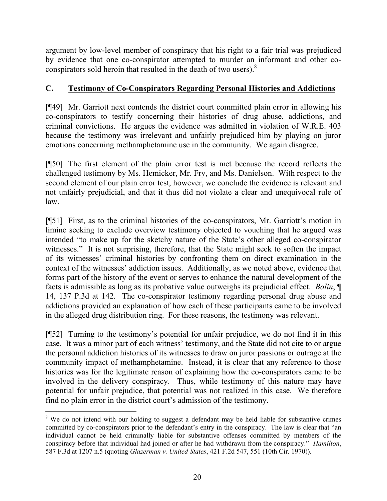argument by low-level member of conspiracy that his right to a fair trial was prejudiced by evidence that one co-conspirator attempted to murder an informant and other coconspirators sold heroin that resulted in the death of two users).<sup>8</sup>

# **C. Testimony of Co-Conspirators Regarding Personal Histories and Addictions**

[¶49] Mr. Garriott next contends the district court committed plain error in allowing his co-conspirators to testify concerning their histories of drug abuse, addictions, and criminal convictions. He argues the evidence was admitted in violation of W.R.E. 403 because the testimony was irrelevant and unfairly prejudiced him by playing on juror emotions concerning methamphetamine use in the community. We again disagree.

[¶50] The first element of the plain error test is met because the record reflects the challenged testimony by Ms. Hemicker, Mr. Fry, and Ms. Danielson. With respect to the second element of our plain error test, however, we conclude the evidence is relevant and not unfairly prejudicial, and that it thus did not violate a clear and unequivocal rule of law.

[¶51] First, as to the criminal histories of the co-conspirators, Mr. Garriott's motion in limine seeking to exclude overview testimony objected to vouching that he argued was intended "to make up for the sketchy nature of the State's other alleged co-conspirator witnesses." It is not surprising, therefore, that the State might seek to soften the impact of its witnesses' criminal histories by confronting them on direct examination in the context of the witnesses' addiction issues. Additionally, as we noted above, evidence that forms part of the history of the event or serves to enhance the natural development of the facts is admissible as long as its probative value outweighs its prejudicial effect. *Bolin*, ¶ 14, 137 P.3d at 142. The co-conspirator testimony regarding personal drug abuse and addictions provided an explanation of how each of these participants came to be involved in the alleged drug distribution ring. For these reasons, the testimony was relevant.

[¶52] Turning to the testimony's potential for unfair prejudice, we do not find it in this case. It was a minor part of each witness' testimony, and the State did not cite to or argue the personal addiction histories of its witnesses to draw on juror passions or outrage at the community impact of methamphetamine. Instead, it is clear that any reference to those histories was for the legitimate reason of explaining how the co-conspirators came to be involved in the delivery conspiracy. Thus, while testimony of this nature may have potential for unfair prejudice, that potential was not realized in this case. We therefore find no plain error in the district court's admission of the testimony.

 $\overline{a}$ 

<sup>&</sup>lt;sup>8</sup> We do not intend with our holding to suggest a defendant may be held liable for substantive crimes committed by co-conspirators prior to the defendant's entry in the conspiracy. The law is clear that "an individual cannot be held criminally liable for substantive offenses committed by members of the conspiracy before that individual had joined or after he had withdrawn from the conspiracy." *Hamilton*, 587 F.3d at 1207 n.5 (quoting *Glazerman v. United States*, 421 F.2d 547, 551 (10th Cir. 1970)).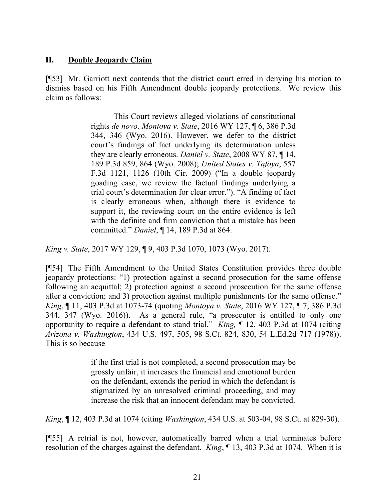## **II. Double Jeopardy Claim**

[¶53] Mr. Garriott next contends that the district court erred in denying his motion to dismiss based on his Fifth Amendment double jeopardy protections. We review this claim as follows:

> This Court reviews alleged violations of constitutional rights *de novo*. *Montoya v. State*, 2016 WY 127, ¶ 6, 386 P.3d 344, 346 (Wyo. 2016). However, we defer to the district court's findings of fact underlying its determination unless they are clearly erroneous. *Daniel v. State*, 2008 WY 87, ¶ 14, 189 P.3d 859, 864 (Wyo. 2008); *United States v. Tafoya*, 557 F.3d 1121, 1126 (10th Cir. 2009) ("In a double jeopardy goading case, we review the factual findings underlying a trial court's determination for clear error."). "A finding of fact is clearly erroneous when, although there is evidence to support it, the reviewing court on the entire evidence is left with the definite and firm conviction that a mistake has been committed." *Daniel*, ¶ 14, 189 P.3d at 864.

*King v. State*, 2017 WY 129, ¶ 9, 403 P.3d 1070, 1073 (Wyo. 2017).

[¶54] The Fifth Amendment to the United States Constitution provides three double jeopardy protections: "1) protection against a second prosecution for the same offense following an acquittal; 2) protection against a second prosecution for the same offense after a conviction; and 3) protection against multiple punishments for the same offense." *King*, ¶ 11, 403 P.3d at 1073-74 (quoting *Montoya v. State*, 2016 WY 127, ¶ 7, 386 P.3d 344, 347 (Wyo. 2016)). As a general rule, "a prosecutor is entitled to only one opportunity to require a defendant to stand trial." *King,* ¶ 12, 403 P.3d at 1074 (citing *Arizona v. Washington*, 434 U.S. 497, 505, 98 S.Ct. 824, 830, 54 L.Ed.2d 717 (1978)). This is so because

> if the first trial is not completed, a second prosecution may be grossly unfair, it increases the financial and emotional burden on the defendant, extends the period in which the defendant is stigmatized by an unresolved criminal proceeding, and may increase the risk that an innocent defendant may be convicted.

*King*, ¶ 12, 403 P.3d at 1074 (citing *Washington*, 434 U.S. at 503-04, 98 S.Ct. at 829-30).

[¶55] A retrial is not, however, automatically barred when a trial terminates before resolution of the charges against the defendant. *King*, ¶ 13, 403 P.3d at 1074. When it is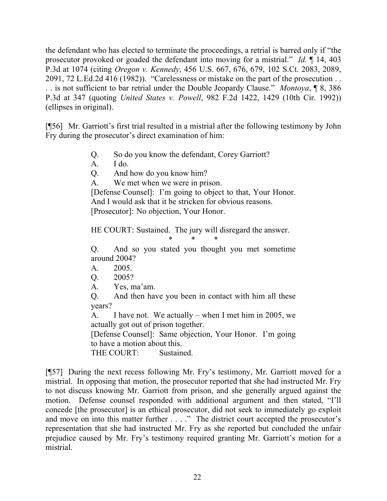the defendant who has elected to terminate the proceedings, a retrial is barred only if "the prosecutor provoked or goaded the defendant into moving for a mistrial." *Id.* ¶ 14, 403 P.3d at 1074 (citing *Oregon v. Kennedy*, 456 U.S. 667, 676, 679, 102 S.Ct. 2083, 2089, 2091, 72 L.Ed.2d 416 (1982)). "Carelessness or mistake on the part of the prosecution . . . . is not sufficient to bar retrial under the Double Jeopardy Clause." *Montoya*, ¶ 8, 386 P.3d at 347 (quoting *United States v. Powell*, 982 F.2d 1422, 1429 (10th Cir. 1992)) (ellipses in original).

[¶56] Mr. Garriott's first trial resulted in a mistrial after the following testimony by John Fry during the prosecutor's direct examination of him:

- Q. So do you know the defendant, Corey Garriott?
- A. I do.
- Q. And how do you know him?
- A. We met when we were in prison.

[Defense Counsel]: I'm going to object to that, Your Honor. And I would ask that it be stricken for obvious reasons.

[Prosecutor]: No objection, Your Honor.

HE COURT: Sustained. The jury will disregard the answer.

\* \* \*

Q. And so you stated you thought you met sometime around 2004?

- A. 2005.
- Q. 2005?
- A. Yes, ma'am.

Q. And then have you been in contact with him all these years?

A. I have not. We actually – when I met him in 2005, we actually got out of prison together.

[Defense Counsel]: Same objection, Your Honor. I'm going to have a motion about this.

THE COURT: Sustained

[¶57] During the next recess following Mr. Fry's testimony, Mr. Garriott moved for a mistrial. In opposing that motion, the prosecutor reported that she had instructed Mr. Fry to not discuss knowing Mr. Garriott from prison, and she generally argued against the motion. Defense counsel responded with additional argument and then stated, "I'll concede [the prosecutor] is an ethical prosecutor, did not seek to immediately go exploit and move on into this matter further . . . ." The district court accepted the prosecutor's representation that she had instructed Mr. Fry as she reported but concluded the unfair prejudice caused by Mr. Fry's testimony required granting Mr. Garriott's motion for a mistrial.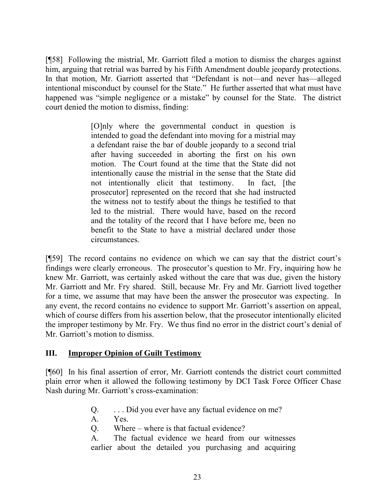[¶58] Following the mistrial, Mr. Garriott filed a motion to dismiss the charges against him, arguing that retrial was barred by his Fifth Amendment double jeopardy protections. In that motion, Mr. Garriott asserted that "Defendant is not—and never has—alleged intentional misconduct by counsel for the State." He further asserted that what must have happened was "simple negligence or a mistake" by counsel for the State. The district court denied the motion to dismiss, finding:

> [O]nly where the governmental conduct in question is intended to goad the defendant into moving for a mistrial may a defendant raise the bar of double jeopardy to a second trial after having succeeded in aborting the first on his own motion. The Court found at the time that the State did not intentionally cause the mistrial in the sense that the State did not intentionally elicit that testimony. In fact, [the prosecutor] represented on the record that she had instructed the witness not to testify about the things he testified to that led to the mistrial. There would have, based on the record and the totality of the record that I have before me, been no benefit to the State to have a mistrial declared under those circumstances.

[¶59] The record contains no evidence on which we can say that the district court's findings were clearly erroneous. The prosecutor's question to Mr. Fry, inquiring how he knew Mr. Garriott, was certainly asked without the care that was due, given the history Mr. Garriott and Mr. Fry shared. Still, because Mr. Fry and Mr. Garriott lived together for a time, we assume that may have been the answer the prosecutor was expecting. In any event, the record contains no evidence to support Mr. Garriott's assertion on appeal, which of course differs from his assertion below, that the prosecutor intentionally elicited the improper testimony by Mr. Fry. We thus find no error in the district court's denial of Mr. Garriott's motion to dismiss.

## **III. Improper Opinion of Guilt Testimony**

[¶60] In his final assertion of error, Mr. Garriott contends the district court committed plain error when it allowed the following testimony by DCI Task Force Officer Chase Nash during Mr. Garriott's cross-examination:

- Q. . . . Did you ever have any factual evidence on me?
- A. Yes.
- Q. Where where is that factual evidence?

A. The factual evidence we heard from our witnesses earlier about the detailed you purchasing and acquiring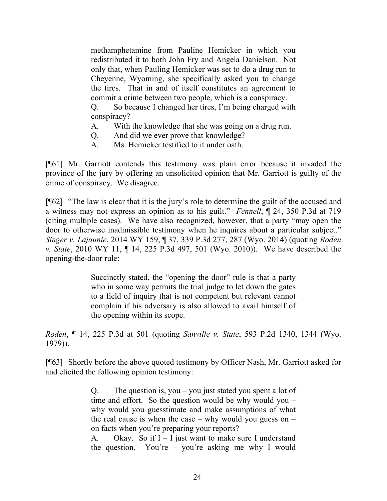methamphetamine from Pauline Hemicker in which you redistributed it to both John Fry and Angela Danielson. Not only that, when Pauling Hemicker was set to do a drug run to Cheyenne, Wyoming, she specifically asked you to change the tires. That in and of itself constitutes an agreement to commit a crime between two people, which is a conspiracy.

Q. So because I changed her tires, I'm being charged with conspiracy?

- A. With the knowledge that she was going on a drug run.
- Q. And did we ever prove that knowledge?
- A. Ms. Hemicker testified to it under oath.

[¶61] Mr. Garriott contends this testimony was plain error because it invaded the province of the jury by offering an unsolicited opinion that Mr. Garriott is guilty of the crime of conspiracy. We disagree.

[¶62] "The law is clear that it is the jury's role to determine the guilt of the accused and a witness may not express an opinion as to his guilt." *Fennell*, ¶ 24, 350 P.3d at 719 (citing multiple cases). We have also recognized, however, that a party "may open the door to otherwise inadmissible testimony when he inquires about a particular subject." *Singer v. Lajaunie*, 2014 WY 159, ¶ 37, 339 P.3d 277, 287 (Wyo. 2014) (quoting *Roden v. State*, 2010 WY 11, ¶ 14, 225 P.3d 497, 501 (Wyo. 2010)). We have described the opening-the-door rule:

> Succinctly stated, the "opening the door" rule is that a party who in some way permits the trial judge to let down the gates to a field of inquiry that is not competent but relevant cannot complain if his adversary is also allowed to avail himself of the opening within its scope.

*Roden*, ¶ 14, 225 P.3d at 501 (quoting *Sanville v. State*, 593 P.2d 1340, 1344 (Wyo. 1979)).

[¶63] Shortly before the above quoted testimony by Officer Nash, Mr. Garriott asked for and elicited the following opinion testimony:

> Q. The question is, you – you just stated you spent a lot of time and effort. So the question would be why would you – why would you guesstimate and make assumptions of what the real cause is when the case – why would you guess on – on facts when you're preparing your reports?

> A. Okay. So if  $I - I$  just want to make sure I understand the question. You're – you're asking me why I would